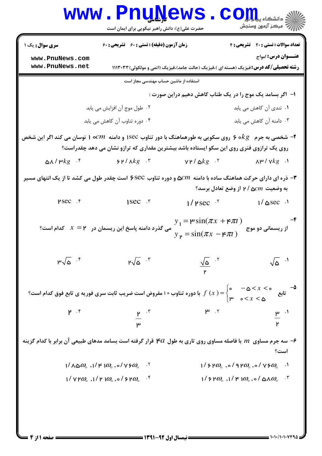|                                                                                                                                                                                                                                                                 | www.PnuNews                                                                                             |                                                                                              | ان دانشڪاه پي <b>ا پارلول گا</b><br>ان مرڪز آنهون وسنڊش                                              |  |  |
|-----------------------------------------------------------------------------------------------------------------------------------------------------------------------------------------------------------------------------------------------------------------|---------------------------------------------------------------------------------------------------------|----------------------------------------------------------------------------------------------|------------------------------------------------------------------------------------------------------|--|--|
|                                                                                                                                                                                                                                                                 | حضرت علی(ع): دانش راهبر نیکویی برای ایمان است                                                           |                                                                                              |                                                                                                      |  |  |
| <b>سری سوال :</b> یک ۱                                                                                                                                                                                                                                          | <b>زمان آزمون (دقیقه) : تستی : 60 تشریحی : 60</b>                                                       |                                                                                              | تعداد سوالات : تستى : 20 تشريحي : 4                                                                  |  |  |
| www.PnuNews.com                                                                                                                                                                                                                                                 |                                                                                                         |                                                                                              | <b>عنـــوان درس:</b> امواج                                                                           |  |  |
| www.PnuNews.net                                                                                                                                                                                                                                                 |                                                                                                         | <b>رشته تحصیلی/کد درس:</b> فیزیک (هسته ای )،فیزیک (حالت جامد)،فیزیک (اتمی و مولکولی) ۱۱۱۳۰۳۳ |                                                                                                      |  |  |
| استفاده از ماشین حساب مهندسی مجاز است                                                                                                                                                                                                                           |                                                                                                         |                                                                                              |                                                                                                      |  |  |
|                                                                                                                                                                                                                                                                 |                                                                                                         | ا– آگر بسامد یک موج را در یک طناب کاهش دهیم دراین صورت :                                     |                                                                                                      |  |  |
|                                                                                                                                                                                                                                                                 | ۰۲ طول موج آن افزایش می یابد                                                                            |                                                                                              | ۰۱ تندی آن کاهش می یابد                                                                              |  |  |
|                                                                                                                                                                                                                                                                 | ۰۴ دوره تناوب آن کاهش می یابد                                                                           |                                                                                              | ۰۳ دامنه آن کاهش می یابد                                                                             |  |  |
| ه و دامنه $\,$ ۳۰ (وی سکویی به طورهماهنگ با دور تناوب ۱sec و دامنه $\,cm$ ۰ ا نوسان می کند اگر این شخص $\,$ ۳                                                                                                                                                   |                                                                                                         |                                                                                              |                                                                                                      |  |  |
|                                                                                                                                                                                                                                                                 | روی یک ترازوی فنری روی این سکو ایستاده باشد بیشترین مقداری که ترازو نشان می دهد چقدراست؟                |                                                                                              |                                                                                                      |  |  |
| ልለ / ሥ $kg$ $.5$                                                                                                                                                                                                                                                | ንሥ/አ $kg$ ነ                                                                                             | $\mathsf{v}\mathsf{r}/\mathsf{a}kg$ is a $\mathsf{v}\mathsf{r}/\mathsf{v}kg$ is              |                                                                                                      |  |  |
| دره ای دارای حرکت هماهنگ ساده با دامنه $\alpha$ ۵ و دوره تناوب ۶SCC است چقدر طول می کشد تا از یک انتهای مسیر "                                                                                                                                                  |                                                                                                         |                                                                                              |                                                                                                      |  |  |
|                                                                                                                                                                                                                                                                 |                                                                                                         |                                                                                              | به وضعیت $\alpha m$ ۵ / ۲ از وضع تعادل برسد؟                                                         |  |  |
|                                                                                                                                                                                                                                                                 | $\gamma$ Psec $\zeta$ $\zeta$                                                                           | $1/$ PSec $-$ <sup>r</sup>                                                                   | $1/\triangle \sec^{-1}$                                                                              |  |  |
|                                                                                                                                                                                                                                                                 | می گذرد دامنه پاسخ این ریسمان در $\bm{X} = \bm{Y}$ کدام است؟                                            | - از ریسمانی دو موج $y_{\mathfrak{p}} = \sin(\pi x - \mathfrak{p}\pi t)$ از ریسمانی دو موج   |                                                                                                      |  |  |
| $\mathbb{P}\sqrt{\Delta}$ <sup>.۴</sup>                                                                                                                                                                                                                         | $\mathsf{P}\sqrt{\mathsf{a}}$ <sup>. ۲</sup>                                                            | $\frac{1}{\sqrt{8}}$ .                                                                       |                                                                                                      |  |  |
| ا دوره تناوب ۱۰ مفروض است ضریب ثابت سری فوریه ی تابع فوق کدام است؟ $f\left(x\right)=\begin{cases} \circ & -\Delta < x < \circ \quad -\Delta \ \mathfrak{p} & \text{if } \Delta \end{cases}$ با دوره تناوب ۱۰ مفروض است ضریب ثابت سری فوریه ی تابع فوق کدام است؟ |                                                                                                         |                                                                                              |                                                                                                      |  |  |
|                                                                                                                                                                                                                                                                 | $\frac{p}{\mu}$ . $\frac{r}{\tau}$                                                                      | $\mathsf{r}$ . $\mathsf{r}$                                                                  |                                                                                                      |  |  |
| سه جرم مساوی $m$ با فاصله مساوی روی تاری به طول ${\cal F}a$ قرار گرفته است بسامد مدهای طبیعی آن برابر با کدام گزینه $\cdot$                                                                                                                                     |                                                                                                         |                                                                                              | است؟                                                                                                 |  |  |
|                                                                                                                                                                                                                                                                 | $1/\lambda \omega \omega_{\circ}$ , $1/\mathsf{F}$ $1\omega_{\circ}$ , $\circ/\sqrt{9}\omega_{\circ}$ . |                                                                                              | $1/5$ $9\omega_{0.}$ , $\circ$ / 9 $9\omega_{0.}$ , $\circ$ / $\sqrt{5\omega_{0.}}$ .                |  |  |
|                                                                                                                                                                                                                                                                 | $1/\forall$ מץ $\omega_{\circ}$ , $1/\gamma$ $\omega_{\circ}$ , $\circ$ / $\gamma$ $\omega_{\circ}$     |                                                                                              | $1/5$ $9\omega_{\rm o}$ , $1/5$ $1\omega_{\rm o}$ , $\circ/$ $\Delta \Lambda \omega_{\rm o}$ $^{-1}$ |  |  |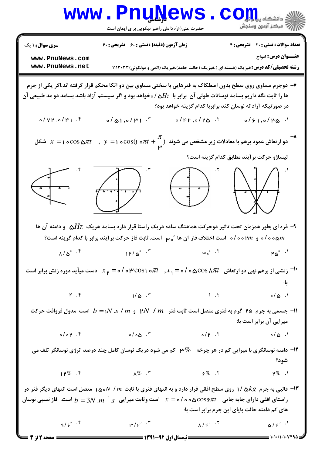

صفحه 2 از 4 ۱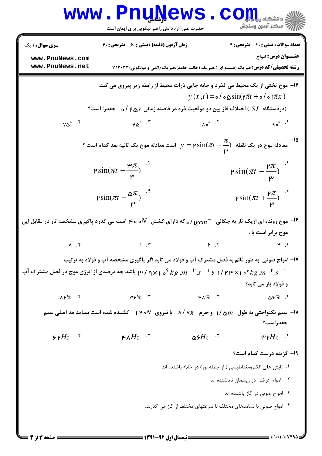|                                                                                                                                                                                                               | <b>www.PnuNews</b>                                                                                                 |                                | ی دانشکاه یی <mark>ا با یا</mark> ل<br>سكز آزمون وسنجش                                                                     |  |
|---------------------------------------------------------------------------------------------------------------------------------------------------------------------------------------------------------------|--------------------------------------------------------------------------------------------------------------------|--------------------------------|----------------------------------------------------------------------------------------------------------------------------|--|
|                                                                                                                                                                                                               | حضرت علی(ع): دانش راهبر نیکویی برای ایمان است                                                                      |                                |                                                                                                                            |  |
| <b>سری سوال : ۱ یک</b>                                                                                                                                                                                        | <b>زمان آزمون (دقیقه) : تستی : 60 تشریحی : 60</b>                                                                  |                                | تعداد سوالات : تستى : 20 تشريحي : 4                                                                                        |  |
| www.PnuNews.com<br>www.PnuNews.net                                                                                                                                                                            |                                                                                                                    |                                | <b>عنـــوان درس:</b> امواج<br><b>رشته تحصیلی/کد درس:</b> فیزیک (هسته ای )،فیزیک (حالت جامد)،فیزیک (اتمی و مولکولی) ۱۱۱۳۰۳۳ |  |
|                                                                                                                                                                                                               |                                                                                                                    |                                | ۱۴- موج تختی از یک محیط می گذرد و جابه جایی ذرات محیط از رابطه زیر پیروی می کند:                                           |  |
|                                                                                                                                                                                                               | (دردستگاه $SI$ ) اختلاف فاز بین دو موقعیت ذره در فاصله زمانی $\Delta S$ / ۰ چقدرا است $\delta$                     |                                | $y(x,t) = o / o \sin(r \pi t + o / o \pi x)$                                                                               |  |
|                                                                                                                                                                                                               |                                                                                                                    |                                |                                                                                                                            |  |
| $v\omega^\circ$ $\cdot$ $f$                                                                                                                                                                                   | $ra^{\circ}$ .                                                                                                     | $1\wedge\circ^\circ$ $\cdot^7$ | $90^\circ$ $\cdot$                                                                                                         |  |
| ° معادله موج در یک نقطه $\displaystyle \sin(\pi t-\frac{\pi}{\mathfrak{p}}) = \sin(\pi t-\frac{\pi}{\mathfrak{p}})$ است معادله موج یک ثانیه بعد کدام است $\displaystyle \sin(\pi t-\frac{\pi}{\mathfrak{p}})$ |                                                                                                                    |                                |                                                                                                                            |  |
|                                                                                                                                                                                                               | $\text{psi}\sin(\pi t - \frac{\mu\pi}{\epsilon})$                                                                  |                                | $\text{psi}\sin(\pi t - \frac{\mu\pi}{\mu})$                                                                               |  |
|                                                                                                                                                                                                               | $\text{psi}\sin(\pi t - \frac{\Delta \pi}{\mu})$                                                                   |                                | $\text{psi}\sin(\pi t + \frac{\text{P}}{\text{m}})^{-\tau}$                                                                |  |
|                                                                                                                                                                                                               | موج رونده ای ازیک تار به چگالی ا $_{1gcm^{-1}}$ / 50 دارای کشش $N$ ه ه ۴ است می گذرد پاگیری مشخصه تار در مقابل این |                                |                                                                                                                            |  |
|                                                                                                                                                                                                               |                                                                                                                    |                                | موج برابر است با :                                                                                                         |  |
| $\Lambda$ . T                                                                                                                                                                                                 | $\mathbf{1} \cdot \mathbf{r}$                                                                                      | $\mathbf{r}$ $\mathbf{r}$      |                                                                                                                            |  |
|                                                                                                                                                                                                               | ۱۷- امواج صوتی ًبه طور قائم به فصل مشترک آب و فولاد می تابد اگر پاگیری مشخصه آب و فولاد به ترتیب                   |                                |                                                                                                                            |  |
|                                                                                                                                                                                                               | ا ۱ و ۱ $^-\star$ ۲۰ م ۱/ ۴۳×۱ او ۱ $^-\star$ ۳۰ م او ۲۰ م (۱۰ م باشد چه درصدی از انرژی موج در فصل مشترک آب $^2$   |                                |                                                                                                                            |  |
|                                                                                                                                                                                                               |                                                                                                                    |                                | و فولاد باز می تابد؟                                                                                                       |  |
| $\lambda$ ۶%.۴                                                                                                                                                                                                | ሥያ $\%$ . ۳                                                                                                        | ۴۸ $\%$ . ۲                    | $\mathtt{\Delta}$ ۶ $\%$ .۱                                                                                                |  |
| ۱۸- سیم یکنواختی به طول $m$ ۲۵ / ۱ و جرم ۷۶٪ ۸ با نیروی ۱۲۰۸ کشیده شده است بسامد مد اصلی سیم $\bullet$                                                                                                        |                                                                                                                    |                                |                                                                                                                            |  |
|                                                                                                                                                                                                               |                                                                                                                    |                                | چقدراست؟                                                                                                                   |  |
| $9Hz$ <sup>f</sup>                                                                                                                                                                                            | ۴۸ $Hz$ ۰                                                                                                          | $\Delta$ ۶ $Hz$ ن              | $\cdot$ ہ $H$ ץ                                                                                                            |  |
|                                                                                                                                                                                                               |                                                                                                                    |                                | <b>۱۹</b> گزینه درست کدام است؟                                                                                             |  |
|                                                                                                                                                                                                               |                                                                                                                    |                                | ۰۱ تابش های الکترومغناطیسی ( از جمله نور) در خلاء پاشنده اند                                                               |  |
| ٠٢ امواج عرضى در ريسمان ناپاشنده اند                                                                                                                                                                          |                                                                                                                    |                                |                                                                                                                            |  |
|                                                                                                                                                                                                               |                                                                                                                    |                                | ۰۳ امواج صوتی در گاز پاشنده اند                                                                                            |  |
|                                                                                                                                                                                                               |                                                                                                                    |                                | ۰۴ امواج صوتی با بسامدهای مختلف با سرعتهای مختلف از گاز می گذرند.                                                          |  |
|                                                                                                                                                                                                               |                                                                                                                    |                                |                                                                                                                            |  |